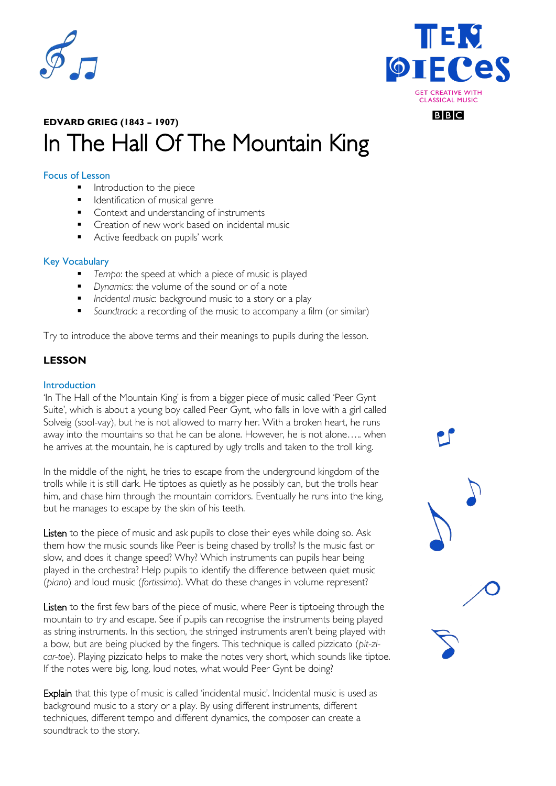



# **EDVARD GRIEG (1843 – 1907)** In The Hall Of The Mountain King

# Focus of Lesson

- **Introduction to the piece**
- **IDENTIFICATION OF MUSICAL GENTE**
- Context and understanding of instruments
- **Creation of new work based on incidental music**
- Active feedback on pupils' work

#### Key Vocabulary

- *Tempo*: the speed at which a piece of music is played
- *Dynamics*: the volume of the sound or of a note
- *Incidental music*: background music to a story or a play
- *Soundtrack*: a recording of the music to accompany a film (or similar)

Try to introduce the above terms and their meanings to pupils during the lesson.

# **LESSON**

#### Introduction

'In The Hall of the Mountain King' is from a bigger piece of music called 'Peer Gynt Suite', which is about a young boy called Peer Gynt, who falls in love with a girl called Solveig (sool-vay), but he is not allowed to marry her. With a broken heart, he runs away into the mountains so that he can be alone. However, he is not alone….. when he arrives at the mountain, he is captured by ugly trolls and taken to the troll king.

In the middle of the night, he tries to escape from the underground kingdom of the trolls while it is still dark. He tiptoes as quietly as he possibly can, but the trolls hear him, and chase him through the mountain corridors. Eventually he runs into the king, but he manages to escape by the skin of his teeth.

Listen to the piece of music and ask pupils to close their eyes while doing so. Ask them how the music sounds like Peer is being chased by trolls? Is the music fast or slow, and does it change speed? Why? Which instruments can pupils hear being played in the orchestra? Help pupils to identify the difference between quiet music (*piano*) and loud music (*fortissimo*). What do these changes in volume represent?

Listen to the first few bars of the piece of music, where Peer is tiptoeing through the mountain to try and escape. See if pupils can recognise the instruments being played as string instruments. In this section, the stringed instruments aren't being played with a bow, but are being plucked by the fingers. This technique is called pizzicato (*pit-zicar-toe*). Playing pizzicato helps to make the notes very short, which sounds like tiptoe. If the notes were big, long, loud notes, what would Peer Gynt be doing?

Explain that this type of music is called 'incidental music'. Incidental music is used as background music to a story or a play. By using different instruments, different techniques, different tempo and different dynamics, the composer can create a soundtrack to the story.

## **BBC**